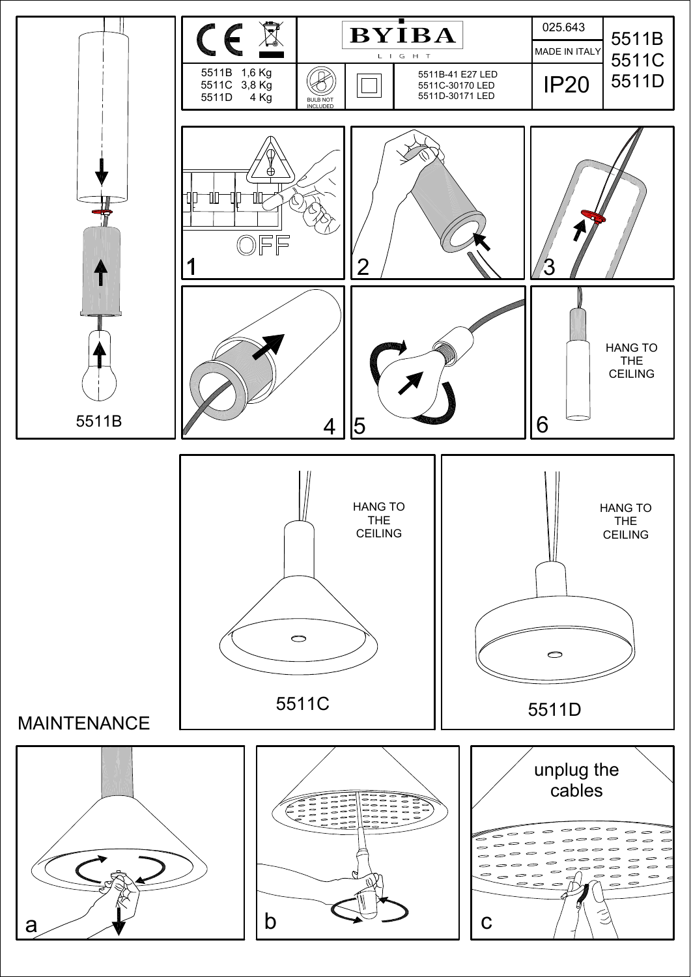